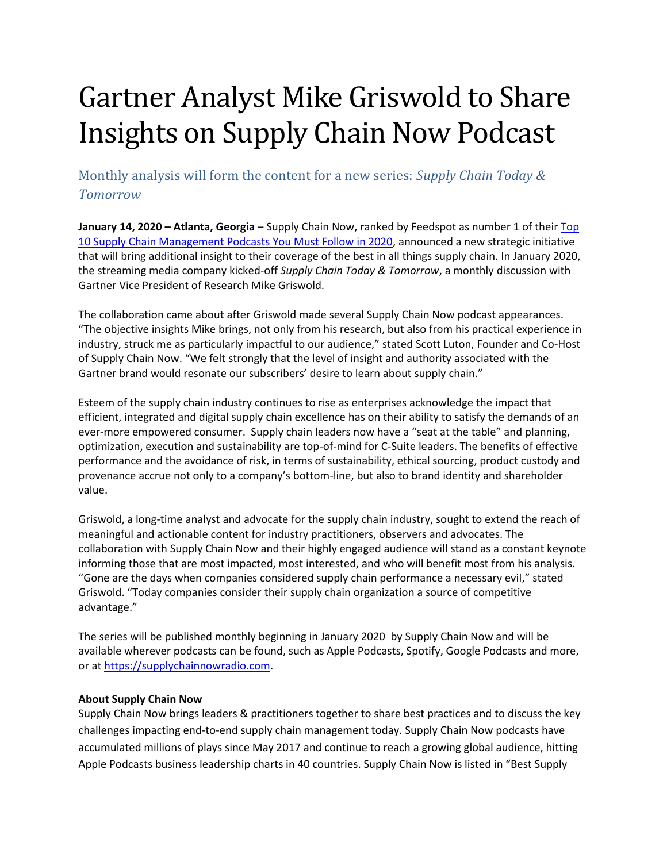## Gartner Analyst Mike Griswold to Share Insights on Supply Chain Now Podcast

Monthly analysis will form the content for a new series: *Supply Chain Today & Tomorrow*

**January 14, 2020 – Atlanta, Georgia** – Supply Chain Now, ranked by Feedspot as number 1 of their [Top](https://blog.feedspot.com/supply_chain_management_podcasts/)  [10 Supply Chain Management Podcasts You Must Follow in 2020,](https://blog.feedspot.com/supply_chain_management_podcasts/) announced a new strategic initiative that will bring additional insight to their coverage of the best in all things supply chain. In January 2020, the streaming media company kicked-off *Supply Chain Today & Tomorrow*, a monthly discussion with Gartner Vice President of Research Mike Griswold.

The collaboration came about after Griswold made several Supply Chain Now podcast appearances. "The objective insights Mike brings, not only from his research, but also from his practical experience in industry, struck me as particularly impactful to our audience," stated Scott Luton, Founder and Co-Host of Supply Chain Now. "We felt strongly that the level of insight and authority associated with the Gartner brand would resonate our subscribers' desire to learn about supply chain."

Esteem of the supply chain industry continues to rise as enterprises acknowledge the impact that efficient, integrated and digital supply chain excellence has on their ability to satisfy the demands of an ever-more empowered consumer. Supply chain leaders now have a "seat at the table" and planning, optimization, execution and sustainability are top-of-mind for C-Suite leaders. The benefits of effective performance and the avoidance of risk, in terms of sustainability, ethical sourcing, product custody and provenance accrue not only to a company's bottom-line, but also to brand identity and shareholder value.

Griswold, a long-time analyst and advocate for the supply chain industry, sought to extend the reach of meaningful and actionable content for industry practitioners, observers and advocates. The collaboration with Supply Chain Now and their highly engaged audience will stand as a constant keynote informing those that are most impacted, most interested, and who will benefit most from his analysis. "Gone are the days when companies considered supply chain performance a necessary evil," stated Griswold. "Today companies consider their supply chain organization a source of competitive advantage."

The series will be published monthly beginning in January 2020 by Supply Chain Now and will be available wherever podcasts can be found, such as Apple Podcasts, Spotify, Google Podcasts and more, or a[t https://supplychainnowradio.com.](https://supplychainnowradio.com/)

## **About Supply Chain Now**

Supply Chain Now brings leaders & practitioners together to share best practices and to discuss the key challenges impacting end-to-end supply chain management today. Supply Chain Now podcasts have accumulated millions of plays since May 2017 and continue to reach a growing global audience, hitting Apple Podcasts business leadership charts in 40 countries. Supply Chain Now is listed in "Best Supply